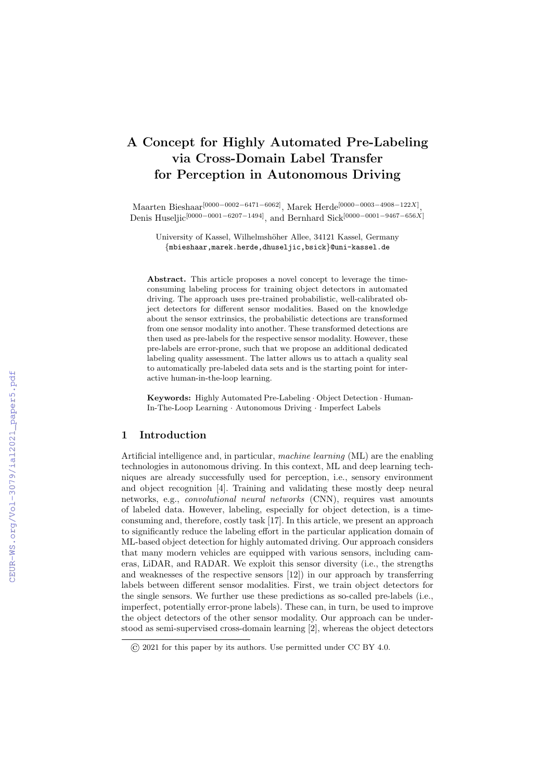# A Concept for Highly Automated Pre-Labeling via Cross-Domain Label Transfer for Perception in Autonomous Driving

Maarten Bieshaar $^{[0000-0002-6471-6062]},$  Marek Herde $^{[0000-0003-4908-122X]},$ Denis Huseljic<sup>[0000–0001–6207–1494]</sup>, and Bernhard Sick<sup>[0000–0001–9467–656X]</sup>

University of Kassel, Wilhelmshöher Allee, 34121 Kassel, Germany {mbieshaar,marek.herde,dhuseljic,bsick}@uni-kassel.de

Abstract. This article proposes a novel concept to leverage the timeconsuming labeling process for training object detectors in automated driving. The approach uses pre-trained probabilistic, well-calibrated object detectors for different sensor modalities. Based on the knowledge about the sensor extrinsics, the probabilistic detections are transformed from one sensor modality into another. These transformed detections are then used as pre-labels for the respective sensor modality. However, these pre-labels are error-prone, such that we propose an additional dedicated labeling quality assessment. The latter allows us to attach a quality seal to automatically pre-labeled data sets and is the starting point for interactive human-in-the-loop learning.

Keywords: Highly Automated Pre-Labeling · Object Detection · Human-In-The-Loop Learning · Autonomous Driving · Imperfect Labels

## 1 Introduction

Artificial intelligence and, in particular, machine learning (ML) are the enabling technologies in autonomous driving. In this context, ML and deep learning techniques are already successfully used for perception, i.e., sensory environment and object recognition [4]. Training and validating these mostly deep neural networks, e.g., convolutional neural networks (CNN), requires vast amounts of labeled data. However, labeling, especially for object detection, is a timeconsuming and, therefore, costly task [17]. In this article, we present an approach to significantly reduce the labeling effort in the particular application domain of ML-based object detection for highly automated driving. Our approach considers that many modern vehicles are equipped with various sensors, including cameras, LiDAR, and RADAR. We exploit this sensor diversity (i.e., the strengths and weaknesses of the respective sensors [12]) in our approach by transferring labels between different sensor modalities. First, we train object detectors for the single sensors. We further use these predictions as so-called pre-labels (i.e., imperfect, potentially error-prone labels). These can, in turn, be used to improve the object detectors of the other sensor modality. Our approach can be understood as semi-supervised cross-domain learning [2], whereas the object detectors

<sup>©</sup> 2021 for this paper by its authors. Use permitted under CC BY 4.0.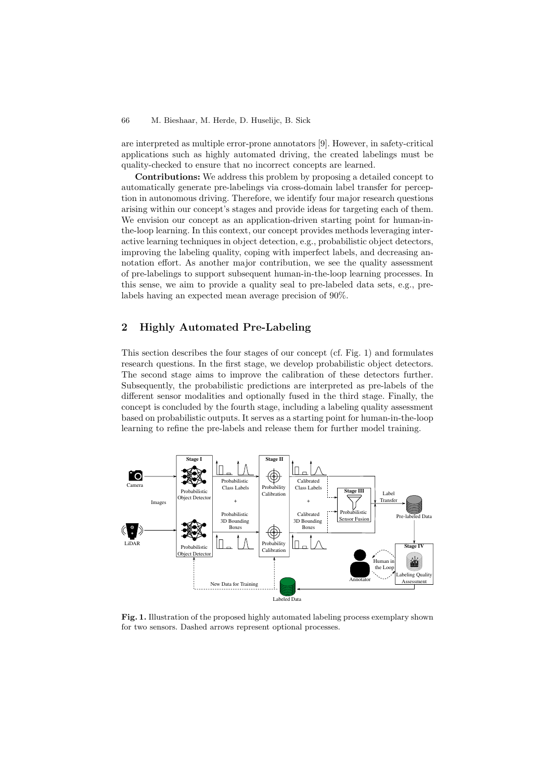#### 66 M. Bieshaar, M. Herde, D. Huselijc, B. Sick

are interpreted as multiple error-prone annotators [9]. However, in safety-critical applications such as highly automated driving, the created labelings must be quality-checked to ensure that no incorrect concepts are learned.

Contributions: We address this problem by proposing a detailed concept to automatically generate pre-labelings via cross-domain label transfer for perception in autonomous driving. Therefore, we identify four major research questions arising within our concept's stages and provide ideas for targeting each of them. We envision our concept as an application-driven starting point for human-inthe-loop learning. In this context, our concept provides methods leveraging interactive learning techniques in object detection, e.g., probabilistic object detectors, improving the labeling quality, coping with imperfect labels, and decreasing annotation effort. As another major contribution, we see the quality assessment of pre-labelings to support subsequent human-in-the-loop learning processes. In this sense, we aim to provide a quality seal to pre-labeled data sets, e.g., prelabels having an expected mean average precision of 90%.

# 2 Highly Automated Pre-Labeling

This section describes the four stages of our concept (cf. Fig. 1) and formulates research questions. In the first stage, we develop probabilistic object detectors. The second stage aims to improve the calibration of these detectors further. Subsequently, the probabilistic predictions are interpreted as pre-labels of the different sensor modalities and optionally fused in the third stage. Finally, the concept is concluded by the fourth stage, including a labeling quality assessment based on probabilistic outputs. It serves as a starting point for human-in-the-loop learning to refine the pre-labels and release them for further model training.



Fig. 1. Illustration of the proposed highly automated labeling process exemplary shown for two sensors. Dashed arrows represent optional processes.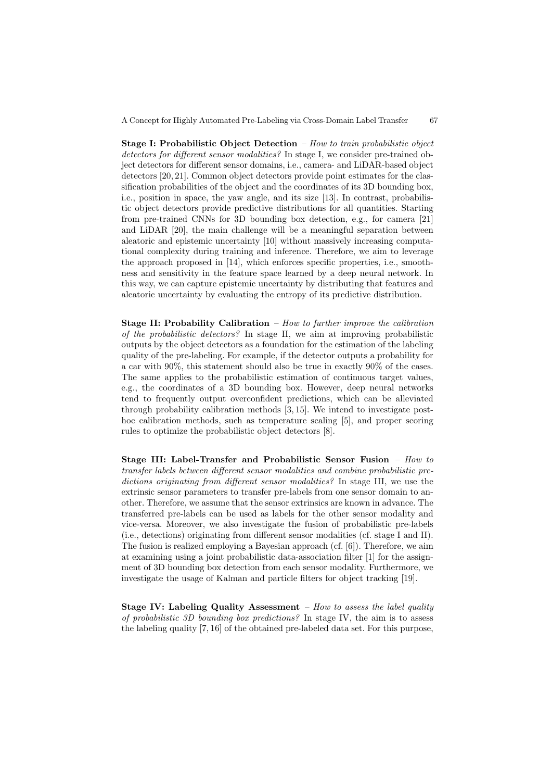Stage I: Probabilistic Object Detection – How to train probabilistic object detectors for different sensor modalities? In stage I, we consider pre-trained object detectors for different sensor domains, i.e., camera- and LiDAR-based object detectors [20, 21]. Common object detectors provide point estimates for the classification probabilities of the object and the coordinates of its 3D bounding box, i.e., position in space, the yaw angle, and its size [13]. In contrast, probabilistic object detectors provide predictive distributions for all quantities. Starting from pre-trained CNNs for 3D bounding box detection, e.g., for camera [21] and LiDAR [20], the main challenge will be a meaningful separation between aleatoric and epistemic uncertainty [10] without massively increasing computational complexity during training and inference. Therefore, we aim to leverage the approach proposed in [14], which enforces specific properties, i.e., smoothness and sensitivity in the feature space learned by a deep neural network. In this way, we can capture epistemic uncertainty by distributing that features and aleatoric uncertainty by evaluating the entropy of its predictive distribution.

**Stage II: Probability Calibration** – How to further improve the calibration of the probabilistic detectors? In stage II, we aim at improving probabilistic outputs by the object detectors as a foundation for the estimation of the labeling quality of the pre-labeling. For example, if the detector outputs a probability for a car with 90%, this statement should also be true in exactly 90% of the cases. The same applies to the probabilistic estimation of continuous target values, e.g., the coordinates of a 3D bounding box. However, deep neural networks tend to frequently output overconfident predictions, which can be alleviated through probability calibration methods [3, 15]. We intend to investigate posthoc calibration methods, such as temperature scaling [5], and proper scoring rules to optimize the probabilistic object detectors [8].

Stage III: Label-Transfer and Probabilistic Sensor Fusion – How to transfer labels between different sensor modalities and combine probabilistic predictions originating from different sensor modalities? In stage III, we use the extrinsic sensor parameters to transfer pre-labels from one sensor domain to another. Therefore, we assume that the sensor extrinsics are known in advance. The transferred pre-labels can be used as labels for the other sensor modality and vice-versa. Moreover, we also investigate the fusion of probabilistic pre-labels (i.e., detections) originating from different sensor modalities (cf. stage I and II). The fusion is realized employing a Bayesian approach (cf. [6]). Therefore, we aim at examining using a joint probabilistic data-association filter [1] for the assignment of 3D bounding box detection from each sensor modality. Furthermore, we investigate the usage of Kalman and particle filters for object tracking [19].

Stage IV: Labeling Quality Assessment –  $How to assess the label quality$ of probabilistic 3D bounding box predictions? In stage IV, the aim is to assess the labeling quality [7, 16] of the obtained pre-labeled data set. For this purpose,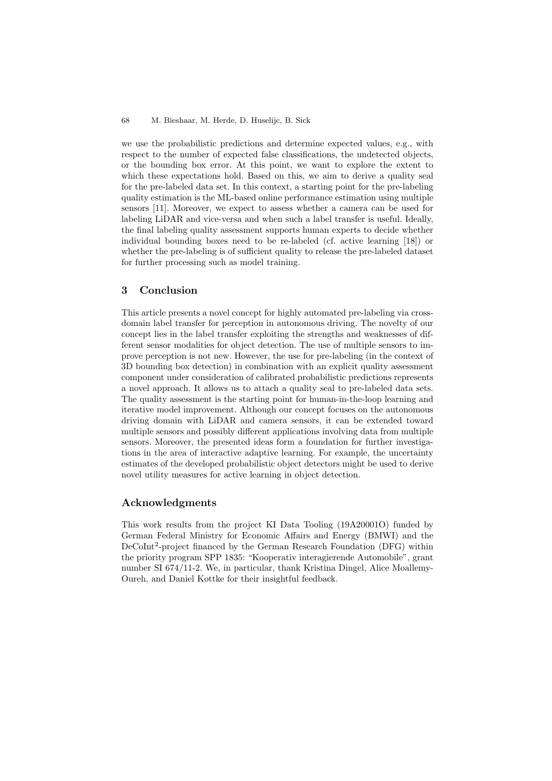#### 68 M. Bieshaar, M. Herde, D. Huselijc, B. Sick

we use the probabilistic predictions and determine expected values, e.g., with respect to the number of expected false classifications, the undetected objects, or the bounding box error. At this point, we want to explore the extent to which these expectations hold. Based on this, we aim to derive a quality seal for the pre-labeled data set. In this context, a starting point for the pre-labeling quality estimation is the ML-based online performance estimation using multiple sensors [11]. Moreover, we expect to assess whether a camera can be used for labeling LiDAR and vice-versa and when such a label transfer is useful. Ideally, the final labeling quality assessment supports human experts to decide whether individual bounding boxes need to be re-labeled (cf. active learning [18]) or whether the pre-labeling is of sufficient quality to release the pre-labeled dataset for further processing such as model training.

## 3 Conclusion

This article presents a novel concept for highly automated pre-labeling via crossdomain label transfer for perception in autonomous driving. The novelty of our concept lies in the label transfer exploiting the strengths and weaknesses of different sensor modalities for object detection. The use of multiple sensors to improve perception is not new. However, the use for pre-labeling (in the context of 3D bounding box detection) in combination with an explicit quality assessment component under consideration of calibrated probabilistic predictions represents a novel approach. It allows us to attach a quality seal to pre-labeled data sets. The quality assessment is the starting point for human-in-the-loop learning and iterative model improvement. Although our concept focuses on the autonomous driving domain with LiDAR and camera sensors, it can be extended toward multiple sensors and possibly different applications involving data from multiple sensors. Moreover, the presented ideas form a foundation for further investigations in the area of interactive adaptive learning. For example, the uncertainty estimates of the developed probabilistic object detectors might be used to derive novel utility measures for active learning in object detection.

## Acknowledgments

This work results from the project KI Data Tooling (19A20001O) funded by German Federal Ministry for Economic Affairs and Energy (BMWI) and the DeCoInt<sup>2</sup>-project financed by the German Research Foundation (DFG) within the priority program SPP 1835: "Kooperativ interagierende Automobile", grant number SI 674/11-2. We, in particular, thank Kristina Dingel, Alice Moallemy-Oureh, and Daniel Kottke for their insightful feedback.